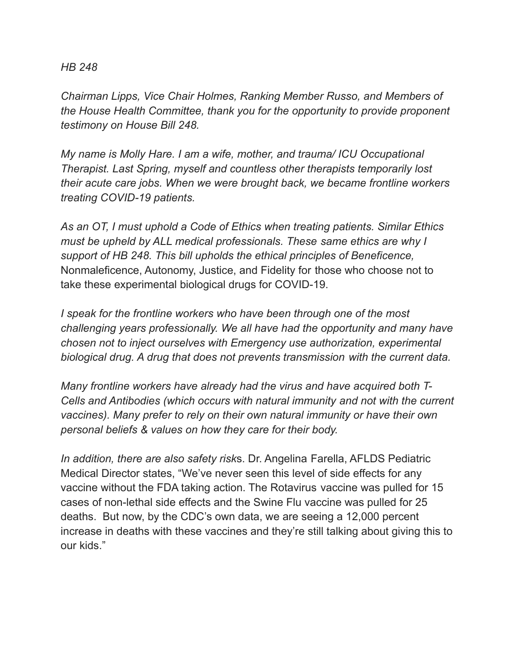## *HB 248*

*Chairman Lipps, Vice Chair Holmes, Ranking Member Russo, and Members of the House Health Committee, thank you for the opportunity to provide proponent testimony on House Bill 248.*

*My name is Molly Hare. I am a wife, mother, and trauma/ ICU Occupational Therapist. Last Spring, myself and countless other therapists temporarily lost their acute care jobs. When we were brought back, we became frontline workers treating COVID-19 patients.*

*As an OT, I must uphold a Code of Ethics when treating patients. Similar Ethics must be upheld by ALL medical professionals. These same ethics are why I support of HB 248. This bill upholds the ethical principles of Beneficence,* Nonmaleficence, Autonomy, Justice, and Fidelity for those who choose not to take these experimental biological drugs for COVID-19.

*I speak for the frontline workers who have been through one of the most challenging years professionally. We all have had the opportunity and many have chosen not to inject ourselves with Emergency use authorization, experimental biological drug. A drug that does not prevents transmission with the current data.*

*Many frontline workers have already had the virus and have acquired both T-Cells and Antibodies (which occurs with natural immunity and not with the current vaccines). Many prefer to rely on their own natural immunity or have their own personal beliefs & values on how they care for their body.*

*In addition, there are also safety risk*s. Dr. Angelina Farella, AFLDS Pediatric Medical Director states, "We've never seen this level of side effects for any vaccine without the FDA taking action. The Rotavirus vaccine was pulled for 15 cases of non-lethal side effects and the Swine Flu vaccine was pulled for 25 deaths. But now, by the CDC's own data, we are seeing a 12,000 percent increase in deaths with these vaccines and they're still talking about giving this to our kids."